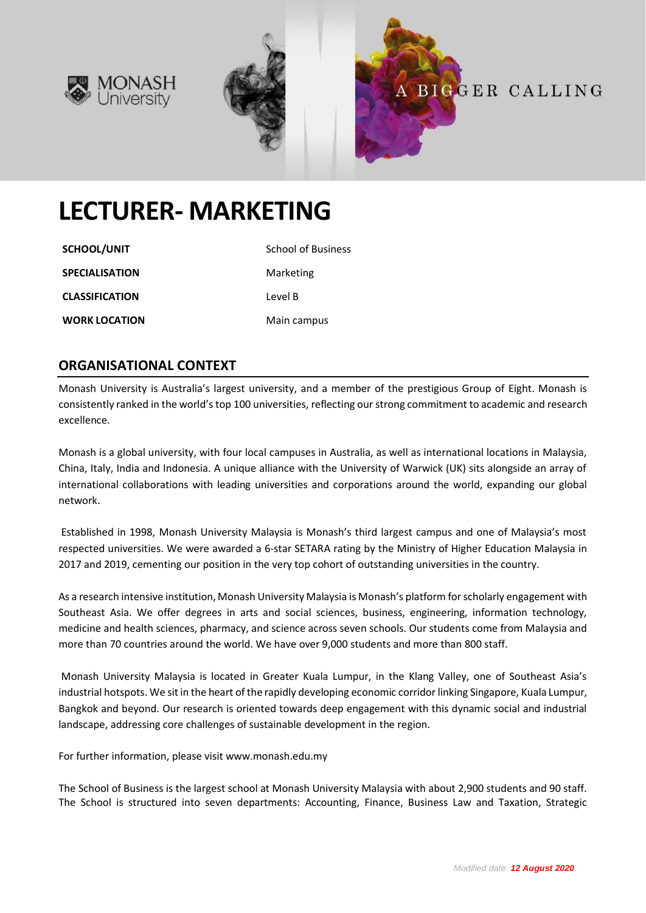





# **LECTURER- MARKETING**

**SCHOOL/UNIT** School of Business **SPECIALISATION** Marketing **CLASSIFICATION** Level B

**WORK LOCATION** Main campus

## **ORGANISATIONAL CONTEXT**

Monash University is Australia's largest university, and a member of the prestigious Group of Eight. Monash is consistently ranked in the world's top 100 universities, reflecting our strong commitment to academic and research excellence.

Monash is a global university, with four local campuses in Australia, as well as international locations in Malaysia, China, Italy, India and Indonesia. A unique alliance with the University of Warwick (UK) sits alongside an array of international collaborations with leading universities and corporations around the world, expanding our global network.

Established in 1998, Monash University Malaysia is Monash's third largest campus and one of Malaysia's most respected universities. We were awarded a 6-star SETARA rating by the Ministry of Higher Education Malaysia in 2017 and 2019, cementing our position in the very top cohort of outstanding universities in the country.

As a research intensive institution, Monash University Malaysia is Monash's platform for scholarly engagement with Southeast Asia. We offer degrees in arts and social sciences, business, engineering, information technology, medicine and health sciences, pharmacy, and science across seven schools. Our students come from Malaysia and more than 70 countries around the world. We have over 9,000 students and more than 800 staff.

Monash University Malaysia is located in Greater Kuala Lumpur, in the Klang Valley, one of Southeast Asia's industrial hotspots. We sit in the heart of the rapidly developing economic corridor linking Singapore, Kuala Lumpur, Bangkok and beyond. Our research is oriented towards deep engagement with this dynamic social and industrial landscape, addressing core challenges of sustainable development in the region.

For further information, please visit www.monash.edu.my

The School of Business is the largest school at Monash University Malaysia with about 2,900 students and 90 staff. The School is structured into seven departments: Accounting, Finance, Business Law and Taxation, Strategic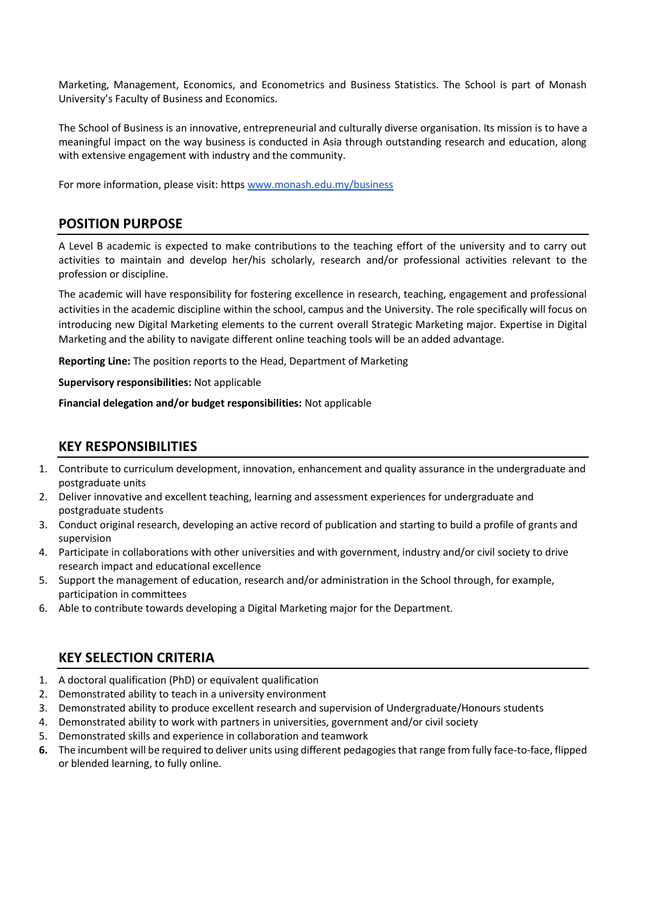Marketing, Management, Economics, and Econometrics and Business Statistics. The School is part of Monash University's Faculty of Business and Economics.

The School of Business is an innovative, entrepreneurial and culturally diverse organisation. Its mission is to have a meaningful impact on the way business is conducted in Asia through outstanding research and education, along with extensive engagement with industry and the community.

For more information, please visit: https [www.monash.edu.my/business](http://www.monash.edu.my/business)

#### **POSITION PURPOSE**

A Level B academic is expected to make contributions to the teaching effort of the university and to carry out activities to maintain and develop her/his scholarly, research and/or professional activities relevant to the profession or discipline.

The academic will have responsibility for fostering excellence in research, teaching, engagement and professional activities in the academic discipline within the school, campus and the University. The role specifically will focus on introducing new Digital Marketing elements to the current overall Strategic Marketing major. Expertise in Digital Marketing and the ability to navigate different online teaching tools will be an added advantage.

**Reporting Line:** The position reports to the Head, Department of Marketing

**Supervisory responsibilities:** Not applicable

**Financial delegation and/or budget responsibilities:** Not applicable

#### **KEY RESPONSIBILITIES**

- 1. Contribute to curriculum development, innovation, enhancement and quality assurance in the undergraduate and postgraduate units
- 2. Deliver innovative and excellent teaching, learning and assessment experiences for undergraduate and postgraduate students
- 3. Conduct original research, developing an active record of publication and starting to build a profile of grants and supervision
- 4. Participate in collaborations with other universities and with government, industry and/or civil society to drive research impact and educational excellence
- 5. Support the management of education, research and/or administration in the School through, for example, participation in committees
- 6. Able to contribute towards developing a Digital Marketing major for the Department.

### **KEY SELECTION CRITERIA**

- 1. A doctoral qualification (PhD) or equivalent qualification
- 2. Demonstrated ability to teach in a university environment
- 3. Demonstrated ability to produce excellent research and supervision of Undergraduate/Honours students
- 4. Demonstrated ability to work with partners in universities, government and/or civil society
- 5. Demonstrated skills and experience in collaboration and teamwork
- **6.** The incumbent will be required to deliver units using different pedagogies that range from fully face-to-face, flipped or blended learning, to fully online.